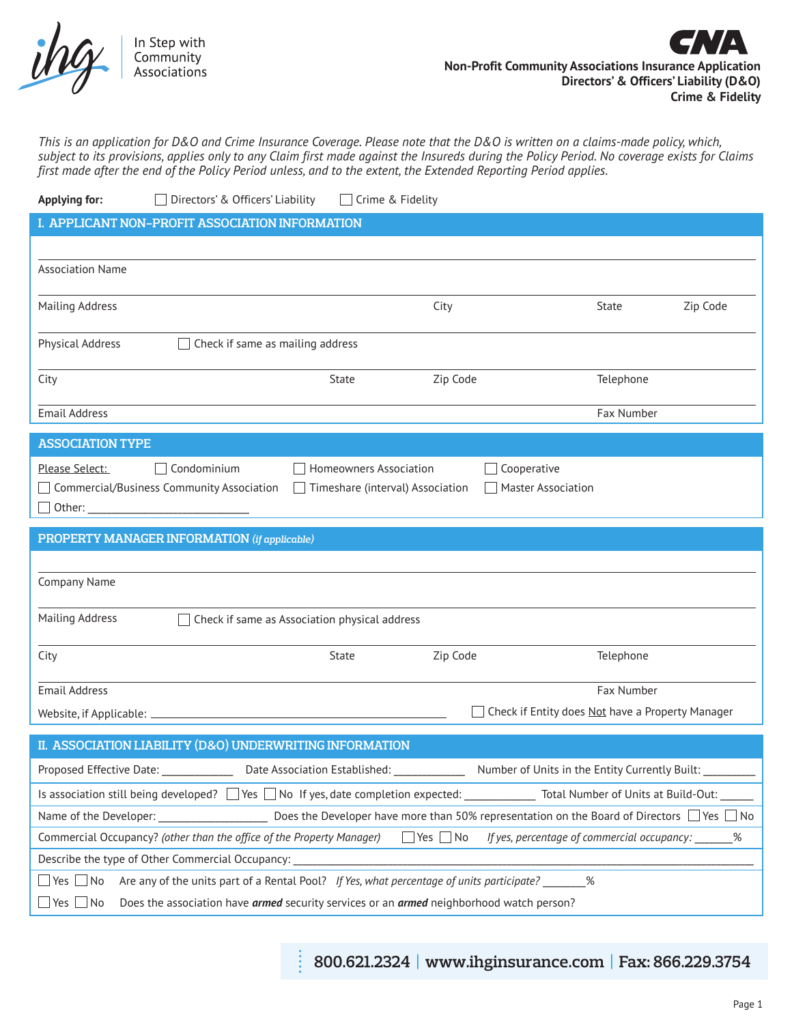

*This is an application for D&O and Crime Insurance Coverage. Please note that the D&O is written on a claims-made policy, which, subject to its provisions, applies only to any Claim first made against the Insureds during the Policy Period. No coverage exists for Claims first made after the end of the Policy Period unless, and to the extent, the Extended Reporting Period applies.*

| <b>Applying for:</b><br>Directors' & Officers' Liability<br>Crime & Fidelity                                                                 |  |  |  |  |
|----------------------------------------------------------------------------------------------------------------------------------------------|--|--|--|--|
| I. APPLICANT NON-PROFIT ASSOCIATION INFORMATION                                                                                              |  |  |  |  |
|                                                                                                                                              |  |  |  |  |
| <b>Association Name</b>                                                                                                                      |  |  |  |  |
|                                                                                                                                              |  |  |  |  |
| <b>Mailing Address</b><br>City<br>Zip Code<br>State                                                                                          |  |  |  |  |
| <b>Physical Address</b><br>Check if same as mailing address                                                                                  |  |  |  |  |
| Zip Code<br>Telephone<br>State                                                                                                               |  |  |  |  |
| City                                                                                                                                         |  |  |  |  |
| <b>Email Address</b><br>Fax Number                                                                                                           |  |  |  |  |
| <b>ASSOCIATION TYPE</b>                                                                                                                      |  |  |  |  |
| Please Select:<br>Condominium<br><b>Homeowners Association</b><br>Cooperative                                                                |  |  |  |  |
| □ Commercial/Business Community Association<br>Timeshare (interval) Association<br><b>Master Association</b>                                 |  |  |  |  |
| $\Box$ Other: $\Box$                                                                                                                         |  |  |  |  |
| PROPERTY MANAGER INFORMATION (if applicable)                                                                                                 |  |  |  |  |
|                                                                                                                                              |  |  |  |  |
|                                                                                                                                              |  |  |  |  |
| Company Name                                                                                                                                 |  |  |  |  |
|                                                                                                                                              |  |  |  |  |
| <b>Mailing Address</b><br>Check if same as Association physical address                                                                      |  |  |  |  |
|                                                                                                                                              |  |  |  |  |
| Zip Code<br>Telephone<br>City<br>State                                                                                                       |  |  |  |  |
| <b>Email Address</b><br>Fax Number                                                                                                           |  |  |  |  |
| Check if Entity does Not have a Property Manager<br>Website, if Applicable: .                                                                |  |  |  |  |
| II. ASSOCIATION LIABILITY (D&O) UNDERWRITING INFORMATION                                                                                     |  |  |  |  |
| Proposed Effective Date:<br>Date Association Established:<br>Number of Units in the Entity Currently Built:                                  |  |  |  |  |
|                                                                                                                                              |  |  |  |  |
| Does the Developer have more than 50% representation on the Board of Directors $\Box$ Yes $\Box$ No<br>Name of the Developer:                |  |  |  |  |
| $\Box$ Yes $\Box$ No<br>Commercial Occupancy? (other than the office of the Property Manager)<br>If yes, percentage of commercial occupancy: |  |  |  |  |
| Describe the type of Other Commercial Occupancy:                                                                                             |  |  |  |  |
| Are any of the units part of a Rental Pool? If Yes, what percentage of units participate? $\%$<br>$\Box$ Yes $\Box$ No                       |  |  |  |  |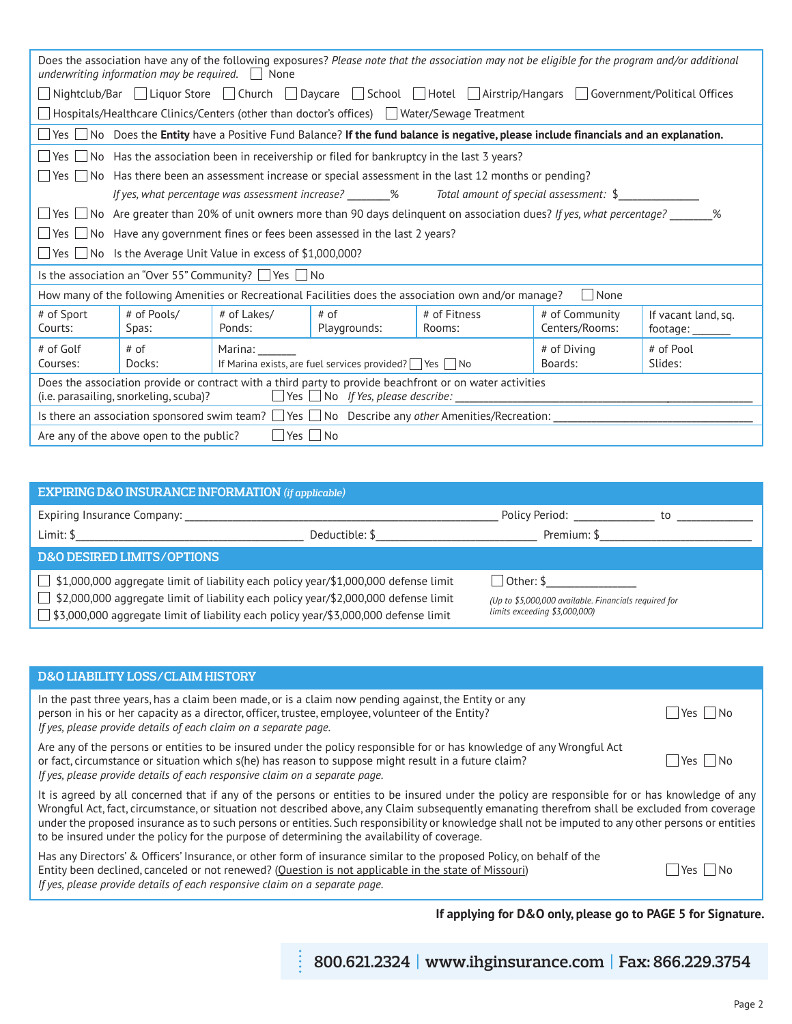| Does the association have any of the following exposures? Please note that the association may not be eligible for the program and/or additional<br>underwriting information may be required. $\Box$ None |             |                                                                                |                                                                                           |                                                                                                                                                              |                |                     |
|-----------------------------------------------------------------------------------------------------------------------------------------------------------------------------------------------------------|-------------|--------------------------------------------------------------------------------|-------------------------------------------------------------------------------------------|--------------------------------------------------------------------------------------------------------------------------------------------------------------|----------------|---------------------|
|                                                                                                                                                                                                           |             |                                                                                |                                                                                           | $\Box$ Nightclub/Bar $\Box$ Liquor Store $\Box$ Church $\Box$ Daycare $\Box$ School $\Box$ Hotel $\Box$ Airstrip/Hangars $\Box$ Government/Political Offices |                |                     |
|                                                                                                                                                                                                           |             |                                                                                |                                                                                           | $\Box$ Hospitals/Healthcare Clinics/Centers (other than doctor's offices) $\Box$ Water/Sewage Treatment                                                      |                |                     |
|                                                                                                                                                                                                           |             |                                                                                |                                                                                           | $\Box$ Yes $\Box$ No Does the Entity have a Positive Fund Balance? If the fund balance is negative, please include financials and an explanation.            |                |                     |
|                                                                                                                                                                                                           |             |                                                                                |                                                                                           | $\Box$ Yes $\Box$ No Has the association been in receivership or filed for bankruptcy in the last 3 years?                                                   |                |                     |
|                                                                                                                                                                                                           |             |                                                                                |                                                                                           | $\Box$ Yes $\Box$ No Has there been an assessment increase or special assessment in the last 12 months or pending?                                           |                |                     |
|                                                                                                                                                                                                           |             |                                                                                |                                                                                           | If yes, what percentage was assessment increase? _______% Total amount of special assessment: \$___________                                                  |                |                     |
|                                                                                                                                                                                                           |             |                                                                                |                                                                                           | $\Box$ Yes $\Box$ No Are greater than 20% of unit owners more than 90 days delinquent on association dues? If yes, what percentage?                          |                | %                   |
|                                                                                                                                                                                                           |             |                                                                                | $\Box$ Yes $\Box$ No Have any government fines or fees been assessed in the last 2 years? |                                                                                                                                                              |                |                     |
|                                                                                                                                                                                                           |             | $\Box$ Yes $\Box$ No Is the Average Unit Value in excess of \$1,000,000?       |                                                                                           |                                                                                                                                                              |                |                     |
| Is the association an "Over 55" Community? $\Box$ Yes $\Box$ No                                                                                                                                           |             |                                                                                |                                                                                           |                                                                                                                                                              |                |                     |
|                                                                                                                                                                                                           |             |                                                                                |                                                                                           | How many of the following Amenities or Recreational Facilities does the association own and/or manage?                                                       | None           |                     |
| # of Sport                                                                                                                                                                                                | # of Pools/ | # of Lakes/                                                                    | $#$ of                                                                                    | # of Fitness                                                                                                                                                 | # of Community | If vacant land, sq. |
| Courts:                                                                                                                                                                                                   | Spas:       | Ponds:                                                                         | Playgrounds:                                                                              | Rooms:                                                                                                                                                       | Centers/Rooms: | footage:            |
| # of Golf                                                                                                                                                                                                 | # of        | Marina:<br># of Diving<br># of Pool                                            |                                                                                           |                                                                                                                                                              |                |                     |
| Courses:                                                                                                                                                                                                  | Docks:      | Boards:<br>Slides:<br>If Marina exists, are fuel services provided?   Yes   No |                                                                                           |                                                                                                                                                              |                |                     |
| Does the association provide or contract with a third party to provide beachfront or on water activities<br>$\Box$ Yes $\Box$ No If Yes, please describe:<br>(i.e. parasailing, snorkeling, scuba)?       |             |                                                                                |                                                                                           |                                                                                                                                                              |                |                     |
| Is there an association sponsored swim team? $\Box$ Yes $\Box$ No Describe any other Amenities/Recreation:                                                                                                |             |                                                                                |                                                                                           |                                                                                                                                                              |                |                     |
| Yes     No<br>Are any of the above open to the public?                                                                                                                                                    |             |                                                                                |                                                                                           |                                                                                                                                                              |                |                     |

| <b>EXPIRING D&amp;O INSURANCE INFORMATION (if applicable)</b>                                        |                                                       |                                                                                                                |                                                                                                                                                                                                                                |  |
|------------------------------------------------------------------------------------------------------|-------------------------------------------------------|----------------------------------------------------------------------------------------------------------------|--------------------------------------------------------------------------------------------------------------------------------------------------------------------------------------------------------------------------------|--|
| Expiring Insurance Company: 2008 2014 2022 2023 2024 2022 2023 2024 2022 2023 2024 2022 2023 2024 20 |                                                       | Policy Period: The control of the control of the control of the control of the control of the control of the c | to to the second second second second second second second second second second second second second second second second second second second second second second second second second second second second second second se |  |
| Limit: \$                                                                                            | Deductible: \$                                        | Premium: \$                                                                                                    |                                                                                                                                                                                                                                |  |
| <b>D&amp;O DESIRED LIMITS/OPTIONS</b>                                                                |                                                       |                                                                                                                |                                                                                                                                                                                                                                |  |
| $\Box$ \$1,000,000 aggregate limit of liability each policy year/\$1,000,000 defense limit           | $\Box$ Other: \$                                      |                                                                                                                |                                                                                                                                                                                                                                |  |
| $\Box$ \$2,000,000 aggregate limit of liability each policy year/\$2,000,000 defense limit           | (Up to \$5,000,000 available. Financials required for |                                                                                                                |                                                                                                                                                                                                                                |  |
| □ \$3,000,000 aggregate limit of liability each policy year/\$3,000,000 defense limit                | limits exceeding $$3,000,000$                         |                                                                                                                |                                                                                                                                                                                                                                |  |

| <b>D&amp;O LIABILITY LOSS/CLAIM HISTORY</b>                                                                                                                                                                                                                                                                                                                                                                                                                                                                                                             |                 |  |
|---------------------------------------------------------------------------------------------------------------------------------------------------------------------------------------------------------------------------------------------------------------------------------------------------------------------------------------------------------------------------------------------------------------------------------------------------------------------------------------------------------------------------------------------------------|-----------------|--|
| In the past three years, has a claim been made, or is a claim now pending against, the Entity or any<br>person in his or her capacity as a director, officer, trustee, employee, volunteer of the Entity?<br>If yes, please provide details of each claim on a separate page.                                                                                                                                                                                                                                                                           | – I No<br>Yes I |  |
| Are any of the persons or entities to be insured under the policy responsible for or has knowledge of any Wrongful Act<br>or fact, circumstance or situation which s(he) has reason to suppose might result in a future claim?<br>If yes, please provide details of each responsive claim on a separate page.                                                                                                                                                                                                                                           | Yes   INo       |  |
| It is agreed by all concerned that if any of the persons or entities to be insured under the policy are responsible for or has knowledge of any<br>Wrongful Act, fact, circumstance, or situation not described above, any Claim subsequently emanating therefrom shall be excluded from coverage<br>under the proposed insurance as to such persons or entities. Such responsibility or knowledge shall not be imputed to any other persons or entities<br>to be insured under the policy for the purpose of determining the availability of coverage. |                 |  |
| Has any Directors' & Officers' Insurance, or other form of insurance similar to the proposed Policy, on behalf of the<br>Entity been declined, canceled or not renewed? (Question is not applicable in the state of Missouri)<br>If yes, please provide details of each responsive claim on a separate page.                                                                                                                                                                                                                                            | ⊟ No<br>Yes I   |  |

# **If applying for D&O only, please go to PAGE 5 for Signature.**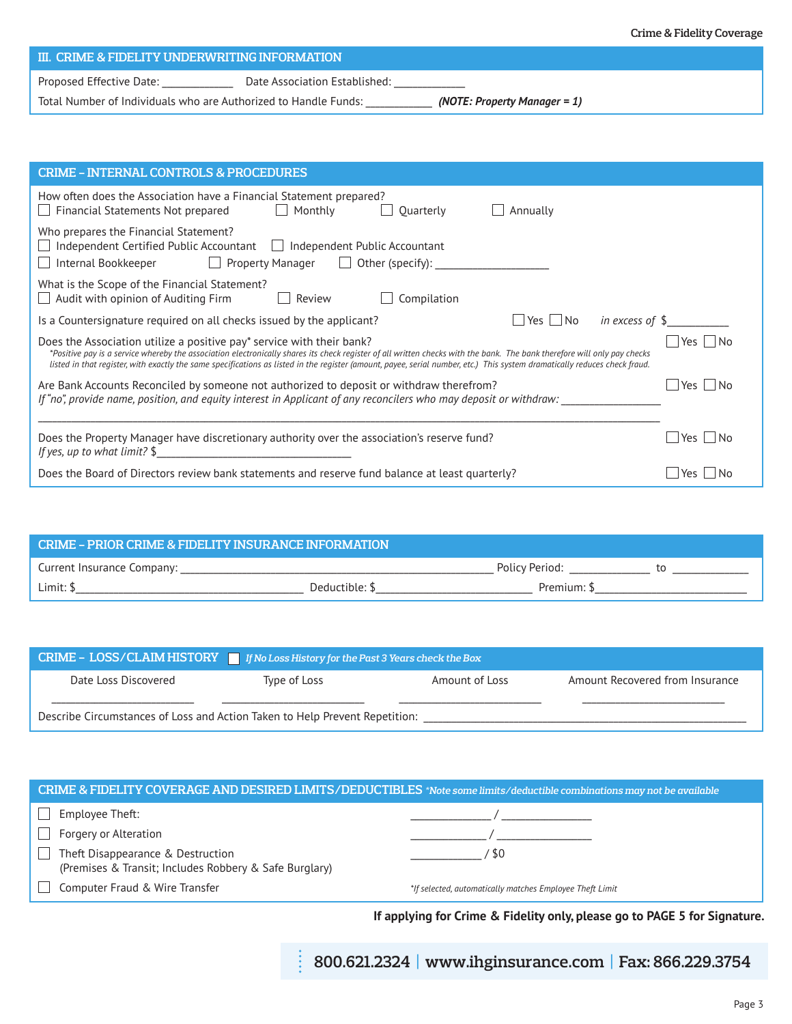# **III. CRIME & FIDELITY UNDERWRITING INFORMATION**

Proposed Effective Date: \_\_\_\_\_\_\_\_\_\_\_\_\_\_\_\_\_\_ Date Association Established: \_\_\_\_\_\_

Total Number of Individuals who are Authorized to Handle Funds: \_\_\_\_\_\_\_\_\_\_\_\_\_\_ *(NOTE: Property Manager = 1)*

| <b>CRIME - INTERNAL CONTROLS &amp; PROCEDURES</b>                                                                                                                                                                                                                                                                                                                                                                               |            |  |  |  |
|---------------------------------------------------------------------------------------------------------------------------------------------------------------------------------------------------------------------------------------------------------------------------------------------------------------------------------------------------------------------------------------------------------------------------------|------------|--|--|--|
| How often does the Association have a Financial Statement prepared?<br>$\Box$ Monthly<br>$\Box$ Financial Statements Not prepared<br>Annually<br>Quarterly                                                                                                                                                                                                                                                                      |            |  |  |  |
| Who prepares the Financial Statement?<br>$\Box$ Independent Certified Public Accountant $\Box$ Independent Public Accountant<br>□ Internal Bookkeeper □ Property Manager □ Other (specify): ____________________                                                                                                                                                                                                                |            |  |  |  |
| What is the Scope of the Financial Statement?<br>$\Box$ Audit with opinion of Auditing Firm<br>Compilation<br>Review                                                                                                                                                                                                                                                                                                            |            |  |  |  |
| in excess of $$$<br>Is a Countersignature required on all checks issued by the applicant?<br>Yes   INo                                                                                                                                                                                                                                                                                                                          |            |  |  |  |
| Does the Association utilize a positive pay* service with their bank?<br>*Positive pay is a service whereby the association electronically shares its check register of all written checks with the bank. The bank therefore will only pay checks<br>listed in that register, with exactly the same specifications as listed in the register (amount, payee, serial number, etc.) This system dramatically reduces check fraud. | Yes     No |  |  |  |
| Are Bank Accounts Reconciled by someone not authorized to deposit or withdraw therefrom?<br>Yes   INo<br>If "no", provide name, position, and equity interest in Applicant of any reconcilers who may deposit or withdraw:                                                                                                                                                                                                      |            |  |  |  |
| Does the Property Manager have discretionary authority over the association's reserve fund?<br>If yes, up to what limit? $\frac{1}{2}$                                                                                                                                                                                                                                                                                          |            |  |  |  |
| Does the Board of Directors review bank statements and reserve fund balance at least quarterly?                                                                                                                                                                                                                                                                                                                                 | Yes I INo  |  |  |  |

| <b>CRIME - PRIOR CRIME &amp; FIDELITY INSURANCE INFORMATION</b> |             |                |  |
|-----------------------------------------------------------------|-------------|----------------|--|
| Current Insurance Company:                                      |             | Policy Period: |  |
| Limit: !                                                        | Deductible: | Premium:       |  |

| CRIME - LOSS/CLAIM HISTORY F If No Loss History for the Past 3 Years check the Box |              |                |                                 |  |
|------------------------------------------------------------------------------------|--------------|----------------|---------------------------------|--|
| Date Loss Discovered                                                               | Type of Loss | Amount of Loss | Amount Recovered from Insurance |  |
| Describe Circumstances of Loss and Action Taken to Help Prevent Repetition:        |              |                |                                 |  |

| CRIME & FIDELITY COVERAGE AND DESIRED LIMITS/DEDUCTIBLES *Note some limits/deductible combinations may not be available |                                                          |  |  |  |
|-------------------------------------------------------------------------------------------------------------------------|----------------------------------------------------------|--|--|--|
| Employee Theft:                                                                                                         |                                                          |  |  |  |
| Forgery or Alteration                                                                                                   |                                                          |  |  |  |
| Theft Disappearance & Destruction<br>$\mathbf{I}$<br>(Premises & Transit; Includes Robbery & Safe Burglary)             | RΩ                                                       |  |  |  |
| Computer Fraud & Wire Transfer                                                                                          | *If selected, automatically matches Employee Theft Limit |  |  |  |

 $\ddot{\cdot}$ 

**If applying for Crime & Fidelity only, please go to PAGE 5 for Signature.**

**800.621.2324 | www.ihginsurance.com | Fax: 866.229.3754**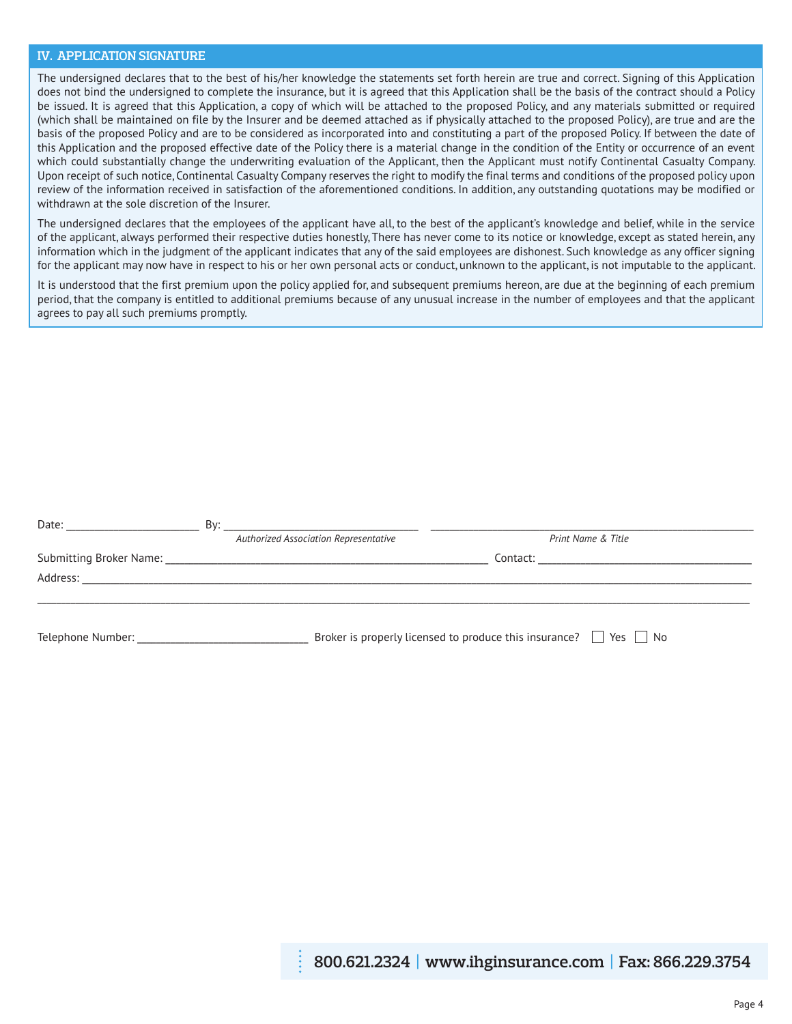## **IV. APPLICATION SIGNATURE**

The undersigned declares that to the best of his/her knowledge the statements set forth herein are true and correct. Signing of this Application does not bind the undersigned to complete the insurance, but it is agreed that this Application shall be the basis of the contract should a Policy be issued. It is agreed that this Application, a copy of which will be attached to the proposed Policy, and any materials submitted or required (which shall be maintained on file by the Insurer and be deemed attached as if physically attached to the proposed Policy), are true and are the basis of the proposed Policy and are to be considered as incorporated into and constituting a part of the proposed Policy. If between the date of this Application and the proposed effective date of the Policy there is a material change in the condition of the Entity or occurrence of an event which could substantially change the underwriting evaluation of the Applicant, then the Applicant must notify Continental Casualty Company. Upon receipt of such notice, Continental Casualty Company reserves the right to modify the final terms and conditions of the proposed policy upon review of the information received in satisfaction of the aforementioned conditions. In addition, any outstanding quotations may be modified or withdrawn at the sole discretion of the Insurer.

The undersigned declares that the employees of the applicant have all, to the best of the applicant's knowledge and belief, while in the service of the applicant, always performed their respective duties honestly, There has never come to its notice or knowledge, except as stated herein, any information which in the judgment of the applicant indicates that any of the said employees are dishonest. Such knowledge as any officer signing for the applicant may now have in respect to his or her own personal acts or conduct, unknown to the applicant, is not imputable to the applicant.

It is understood that the first premium upon the policy applied for, and subsequent premiums hereon, are due at the beginning of each premium period, that the company is entitled to additional premiums because of any unusual increase in the number of employees and that the applicant agrees to pay all such premiums promptly.

| Date: The Date:   | Bv:                                   |                                                                             |
|-------------------|---------------------------------------|-----------------------------------------------------------------------------|
|                   | Authorized Association Representative | Print Name & Title                                                          |
|                   |                                       |                                                                             |
|                   |                                       |                                                                             |
| Telephone Number: |                                       | Broker is properly licensed to produce this insurance? $\Box$ Yes $\Box$ No |